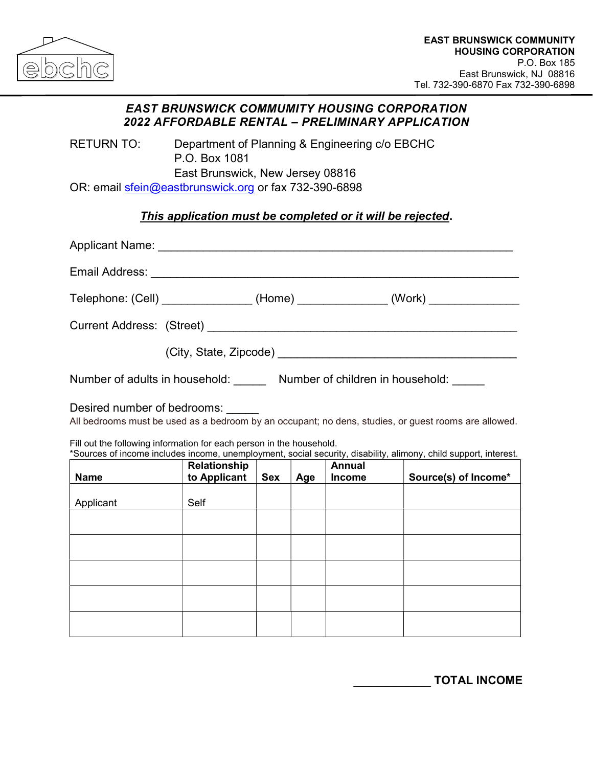

## EAST BRUNSWICK COMMUMITY HOUSING CORPORATION 2022 AFFORDABLE RENTAL – PRELIMINARY APPLICATION

RETURN TO: Department of Planning & Engineering c/o EBCHC P.O. Box 1081 East Brunswick, New Jersey 08816 OR: email sfein@eastbrunswick.org or fax 732-390-6898

## This application must be completed or it will be rejected.

|                                                                                                                                                                                                                                                                                                                                 | Telephone: (Cell) ________________ (Home) ______________ (Work) _______________ |     |     |                                |                      |
|---------------------------------------------------------------------------------------------------------------------------------------------------------------------------------------------------------------------------------------------------------------------------------------------------------------------------------|---------------------------------------------------------------------------------|-----|-----|--------------------------------|----------------------|
|                                                                                                                                                                                                                                                                                                                                 |                                                                                 |     |     |                                |                      |
|                                                                                                                                                                                                                                                                                                                                 |                                                                                 |     |     |                                |                      |
| Number of adults in household: Number of children in household: Number of children in household:                                                                                                                                                                                                                                |                                                                                 |     |     |                                |                      |
| Desired number of bedrooms:<br>All bedrooms must be used as a bedroom by an occupant; no dens, studies, or guest rooms are allowed.<br>Fill out the following information for each person in the household.<br>*Sources of income includes income, unemployment, social security, disability, alimony, child support, interest. |                                                                                 |     |     |                                |                      |
| Name                                                                                                                                                                                                                                                                                                                            | Relationship<br>to Applicant                                                    | Sex | Age | <b>Annual</b><br><b>Income</b> | Source(s) of Income* |
| Applicant                                                                                                                                                                                                                                                                                                                       | Self                                                                            |     |     |                                |                      |
|                                                                                                                                                                                                                                                                                                                                 |                                                                                 |     |     |                                |                      |
|                                                                                                                                                                                                                                                                                                                                 |                                                                                 |     |     |                                |                      |
|                                                                                                                                                                                                                                                                                                                                 |                                                                                 |     |     |                                |                      |
|                                                                                                                                                                                                                                                                                                                                 |                                                                                 |     |     |                                |                      |

\_\_\_\_\_\_\_\_\_ TOTAL INCOME